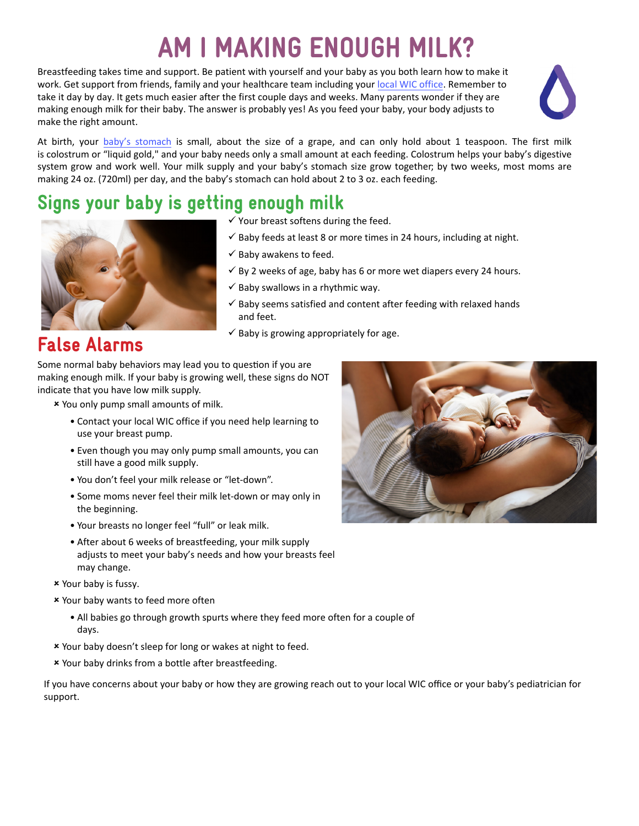# AM I MAKING ENOUGH MILK?

Breastfeeding takes time and support. Be patient with yourself and your baby as you both learn how to make it work. Get support from friends, family and your healthcare team including your [local WIC office.](https://www.nutritionnc.com/wic/directory.htm) Remember to take it day by day. It gets much easier after the first couple days and weeks. Many parents wonder if they are making enough milk for their baby. The answer is probably yes! As you feed your baby, your body adjusts to make the right amount.



At birth, your [baby's stomach](https://ncnutrition.adobeconnect.com/cgbinewbornstomachsize/) is small, about the size of a grape, and can only hold about 1 teaspoon. The first milk is colostrum or "liquid gold," and your baby needs only a small amount at each feeding. Colostrum helps your baby's digestive system grow and work well. Your milk supply and your baby's stomach size grow together; by two weeks, most moms are making 24 oz. (720ml) per day, and the baby's stomach can hold about 2 to 3 oz. each feeding.

#### Signs your baby is getting enough milk



#### $\checkmark$  Your breast softens during the feed.

- $\checkmark$  Baby feeds at least 8 or more times in 24 hours, including at night.
- $\checkmark$  Baby awakens to feed.
- $\checkmark$  By 2 weeks of age, baby has 6 or more wet diapers every 24 hours.
- $\checkmark$  Baby swallows in a rhythmic way.
- $\checkmark$  Baby seems satisfied and content after feeding with relaxed hands and feet.
- $\checkmark$  Baby is growing appropriately for age.

#### False Alarms

Some normal baby behaviors may lead you to question if you are making enough milk. If your baby is growing well, these signs do NOT indicate that you have low milk supply.

8 You only pump small amounts of milk.

- Contact your local WIC office if you need help learning to use your breast pump.
- Even though you may only pump small amounts, you can still have a good milk supply.
- You don't feel your milk release or "let-down".
- Some moms never feel their milk let-down or may only in the beginning.
- Your breasts no longer feel "full" or leak milk.
- After about 6 weeks of breastfeeding, your milk supply adjusts to meet your baby's needs and how your breasts feel may change.
- 8 Your baby is fussy.
- 8 Your baby wants to feed more often
	- All babies go through growth spurts where they feed more often for a couple of days.
- 8 Your baby doesn't sleep for long or wakes at night to feed.
- 8 Your baby drinks from a bottle after breastfeeding.

If you have concerns about your baby or how they are growing reach out to your local WIC office or your baby's pediatrician for support.